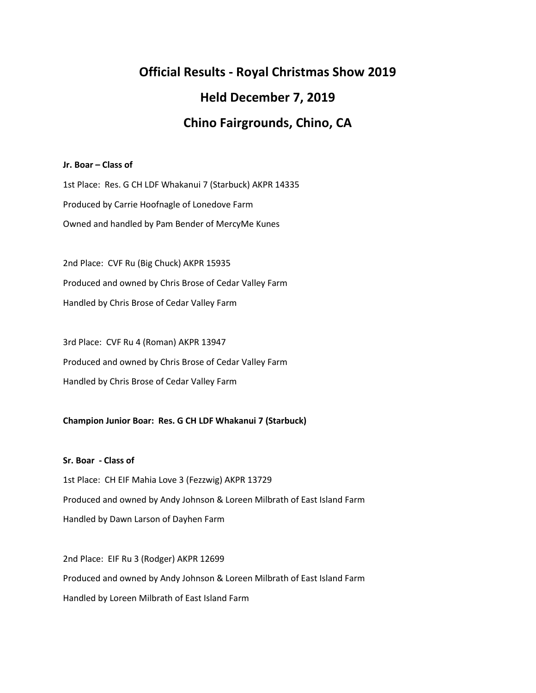# **Official Results - Royal Christmas Show 2019 Held December 7, 2019 Chino Fairgrounds, Chino, CA**

# **Jr. Boar – Class of**

1st Place: Res. G CH LDF Whakanui 7 (Starbuck) AKPR 14335 Produced by Carrie Hoofnagle of Lonedove Farm Owned and handled by Pam Bender of MercyMe Kunes

2nd Place: CVF Ru (Big Chuck) AKPR 15935 Produced and owned by Chris Brose of Cedar Valley Farm Handled by Chris Brose of Cedar Valley Farm

3rd Place: CVF Ru 4 (Roman) AKPR 13947 Produced and owned by Chris Brose of Cedar Valley Farm Handled by Chris Brose of Cedar Valley Farm

# **Champion Junior Boar: Res. G CH LDF Whakanui 7 (Starbuck)**

**Sr. Boar - Class of** 1st Place: CH EIF Mahia Love 3 (Fezzwig) AKPR 13729 Produced and owned by Andy Johnson & Loreen Milbrath of East Island Farm Handled by Dawn Larson of Dayhen Farm

2nd Place: EIF Ru 3 (Rodger) AKPR 12699 Produced and owned by Andy Johnson & Loreen Milbrath of East Island Farm Handled by Loreen Milbrath of East Island Farm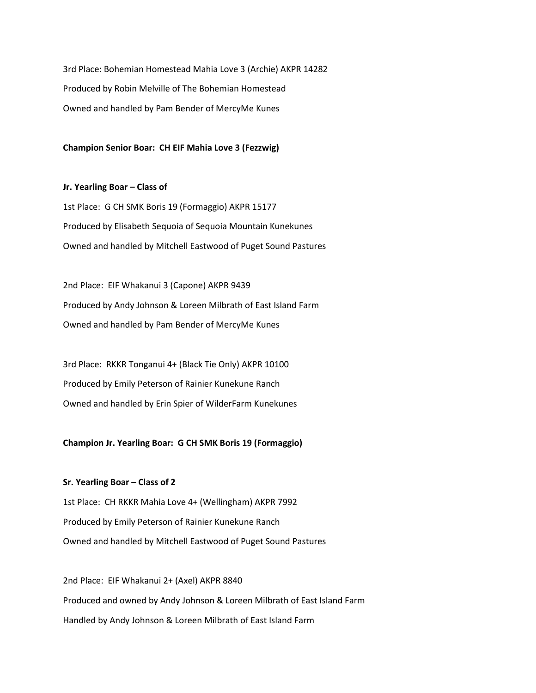3rd Place: Bohemian Homestead Mahia Love 3 (Archie) AKPR 14282 Produced by Robin Melville of The Bohemian Homestead Owned and handled by Pam Bender of MercyMe Kunes

**Champion Senior Boar: CH EIF Mahia Love 3 (Fezzwig)**

**Jr. Yearling Boar – Class of** 1st Place: G CH SMK Boris 19 (Formaggio) AKPR 15177 Produced by Elisabeth Sequoia of Sequoia Mountain Kunekunes Owned and handled by Mitchell Eastwood of Puget Sound Pastures

2nd Place: EIF Whakanui 3 (Capone) AKPR 9439 Produced by Andy Johnson & Loreen Milbrath of East Island Farm Owned and handled by Pam Bender of MercyMe Kunes

3rd Place: RKKR Tonganui 4+ (Black Tie Only) AKPR 10100 Produced by Emily Peterson of Rainier Kunekune Ranch Owned and handled by Erin Spier of WilderFarm Kunekunes

**Champion Jr. Yearling Boar: G CH SMK Boris 19 (Formaggio)**

**Sr. Yearling Boar – Class of 2** 1st Place: CH RKKR Mahia Love 4+ (Wellingham) AKPR 7992 Produced by Emily Peterson of Rainier Kunekune Ranch Owned and handled by Mitchell Eastwood of Puget Sound Pastures

2nd Place: EIF Whakanui 2+ (Axel) AKPR 8840 Produced and owned by Andy Johnson & Loreen Milbrath of East Island Farm Handled by Andy Johnson & Loreen Milbrath of East Island Farm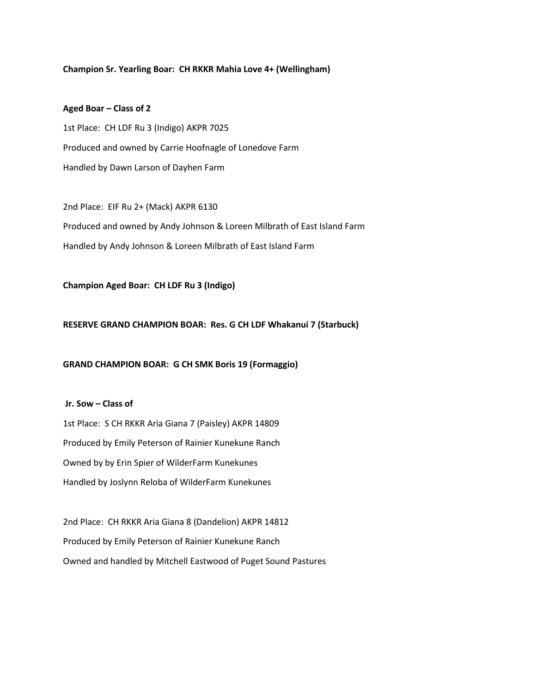#### **Champion Sr. Yearling Boar: CH RKKR Mahia Love 4+ (Wellingham)**

#### **Aged Boar – Class of 2**

1st Place: CH LDF Ru 3 (Indigo) AKPR 7025 Produced and owned by Carrie Hoofnagle of Lonedove Farm Handled by Dawn Larson of Dayhen Farm

2nd Place: EIF Ru 2+ (Mack) AKPR 6130 Produced and owned by Andy Johnson & Loreen Milbrath of East Island Farm Handled by Andy Johnson & Loreen Milbrath of East Island Farm

**Champion Aged Boar: CH LDF Ru 3 (Indigo)**

#### **RESERVE GRAND CHAMPION BOAR: Res. G CH LDF Whakanui 7 (Starbuck)**

# **GRAND CHAMPION BOAR: G CH SMK Boris 19 (Formaggio)**

**Jr. Sow – Class of** 

1st Place: S CH RKKR Aria Giana 7 (Paisley) AKPR 14809 Produced by Emily Peterson of Rainier Kunekune Ranch Owned by by Erin Spier of WilderFarm Kunekunes Handled by Joslynn Reloba of WilderFarm Kunekunes

2nd Place: CH RKKR Aria Giana 8 (Dandelion) AKPR 14812 Produced by Emily Peterson of Rainier Kunekune Ranch Owned and handled by Mitchell Eastwood of Puget Sound Pastures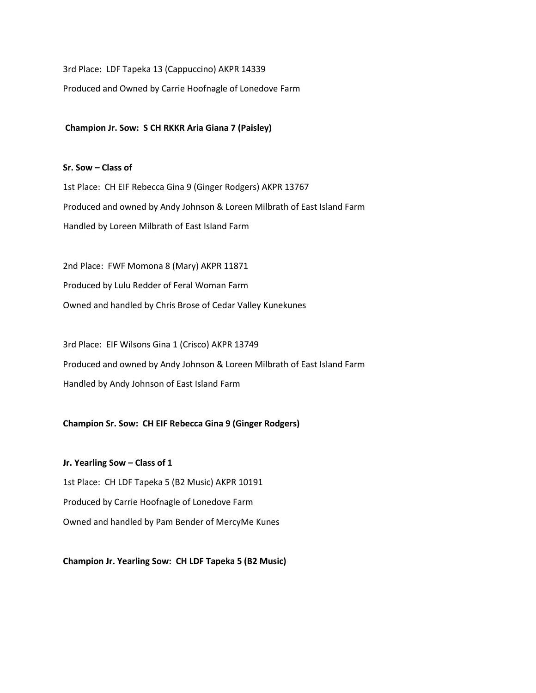3rd Place: LDF Tapeka 13 (Cappuccino) AKPR 14339

Produced and Owned by Carrie Hoofnagle of Lonedove Farm

**Champion Jr. Sow: S CH RKKR Aria Giana 7 (Paisley)**

#### **Sr. Sow – Class of**

1st Place: CH EIF Rebecca Gina 9 (Ginger Rodgers) AKPR 13767 Produced and owned by Andy Johnson & Loreen Milbrath of East Island Farm Handled by Loreen Milbrath of East Island Farm

2nd Place: FWF Momona 8 (Mary) AKPR 11871 Produced by Lulu Redder of Feral Woman Farm Owned and handled by Chris Brose of Cedar Valley Kunekunes

3rd Place: EIF Wilsons Gina 1 (Crisco) AKPR 13749 Produced and owned by Andy Johnson & Loreen Milbrath of East Island Farm Handled by Andy Johnson of East Island Farm

# **Champion Sr. Sow: CH EIF Rebecca Gina 9 (Ginger Rodgers)**

**Jr. Yearling Sow – Class of 1** 1st Place: CH LDF Tapeka 5 (B2 Music) AKPR 10191 Produced by Carrie Hoofnagle of Lonedove Farm Owned and handled by Pam Bender of MercyMe Kunes

**Champion Jr. Yearling Sow: CH LDF Tapeka 5 (B2 Music)**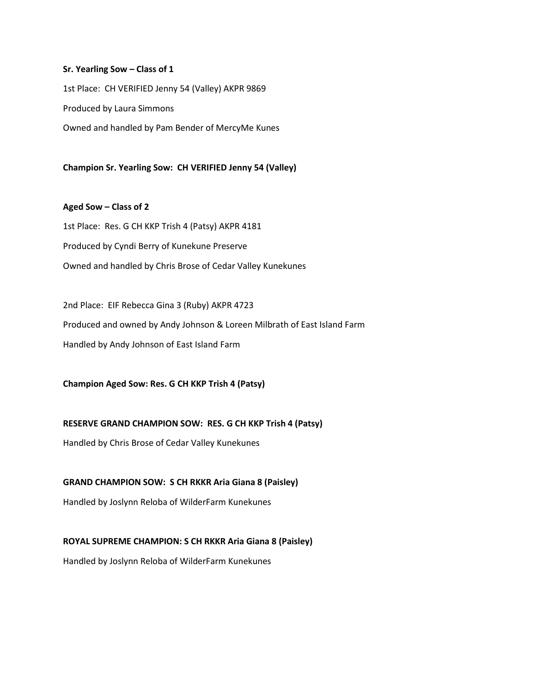#### **Sr. Yearling Sow – Class of 1**

1st Place: CH VERIFIED Jenny 54 (Valley) AKPR 9869 Produced by Laura Simmons Owned and handled by Pam Bender of MercyMe Kunes

**Champion Sr. Yearling Sow: CH VERIFIED Jenny 54 (Valley)**

# **Aged Sow – Class of 2**

1st Place: Res. G CH KKP Trish 4 (Patsy) AKPR 4181 Produced by Cyndi Berry of Kunekune Preserve Owned and handled by Chris Brose of Cedar Valley Kunekunes

2nd Place: EIF Rebecca Gina 3 (Ruby) AKPR 4723 Produced and owned by Andy Johnson & Loreen Milbrath of East Island Farm Handled by Andy Johnson of East Island Farm

**Champion Aged Sow: Res. G CH KKP Trish 4 (Patsy)**

# **RESERVE GRAND CHAMPION SOW: RES. G CH KKP Trish 4 (Patsy)**

Handled by Chris Brose of Cedar Valley Kunekunes

# **GRAND CHAMPION SOW: S CH RKKR Aria Giana 8 (Paisley)**

Handled by Joslynn Reloba of WilderFarm Kunekunes

# **ROYAL SUPREME CHAMPION: S CH RKKR Aria Giana 8 (Paisley)**

Handled by Joslynn Reloba of WilderFarm Kunekunes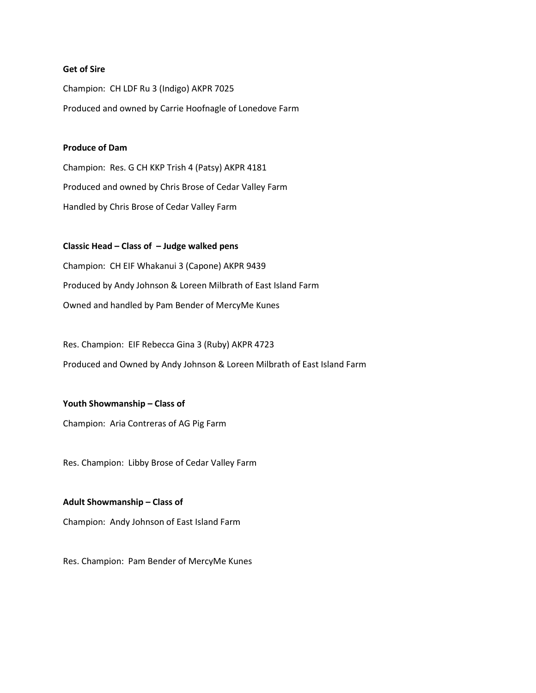# **Get of Sire**

Champion: CH LDF Ru 3 (Indigo) AKPR 7025 Produced and owned by Carrie Hoofnagle of Lonedove Farm

## **Produce of Dam**

Champion: Res. G CH KKP Trish 4 (Patsy) AKPR 4181 Produced and owned by Chris Brose of Cedar Valley Farm Handled by Chris Brose of Cedar Valley Farm

**Classic Head – Class of – Judge walked pens** Champion: CH EIF Whakanui 3 (Capone) AKPR 9439 Produced by Andy Johnson & Loreen Milbrath of East Island Farm Owned and handled by Pam Bender of MercyMe Kunes

Res. Champion: EIF Rebecca Gina 3 (Ruby) AKPR 4723 Produced and Owned by Andy Johnson & Loreen Milbrath of East Island Farm

**Youth Showmanship – Class of**

Champion: Aria Contreras of AG Pig Farm

Res. Champion: Libby Brose of Cedar Valley Farm

**Adult Showmanship – Class of**  Champion: Andy Johnson of East Island Farm

Res. Champion: Pam Bender of MercyMe Kunes